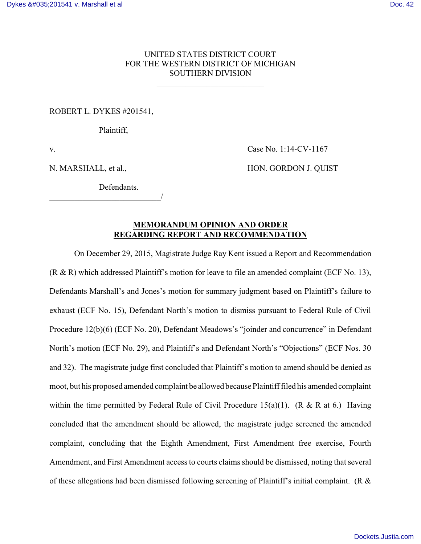# UNITED STATES DISTRICT COURT FOR THE WESTERN DISTRICT OF MICHIGAN SOUTHERN DIVISION

\_\_\_\_\_\_\_\_\_\_\_\_\_\_\_\_\_\_\_\_\_\_\_\_\_\_

ROBERT L. DYKES #201541,

Plaintiff,

v. Case No. 1:14-CV-1167

N. MARSHALL, et al., HON. GORDON J. QUIST

**Defendants** 

\_\_\_\_\_\_\_\_\_\_\_\_\_\_\_\_\_\_\_\_\_\_\_\_\_\_\_/

## **MEMORANDUM OPINION AND ORDER REGARDING REPORT AND RECOMMENDATION**

On December 29, 2015, Magistrate Judge Ray Kent issued a Report and Recommendation  $(R \& R)$  which addressed Plaintiff's motion for leave to file an amended complaint (ECF No. 13), Defendants Marshall's and Jones's motion for summary judgment based on Plaintiff's failure to exhaust (ECF No. 15), Defendant North's motion to dismiss pursuant to Federal Rule of Civil Procedure 12(b)(6) (ECF No. 20), Defendant Meadows's "joinder and concurrence" in Defendant North's motion (ECF No. 29), and Plaintiff's and Defendant North's "Objections" (ECF Nos. 30 and 32). The magistrate judge first concluded that Plaintiff's motion to amend should be denied as moot, but his proposed amended complaint be allowed because Plaintiff filed his amended complaint within the time permitted by Federal Rule of Civil Procedure 15(a)(1). (R & R at 6.) Having concluded that the amendment should be allowed, the magistrate judge screened the amended complaint, concluding that the Eighth Amendment, First Amendment free exercise, Fourth Amendment, and First Amendment access to courts claims should be dismissed, noting that several of these allegations had been dismissed following screening of Plaintiff's initial complaint. (R  $\&$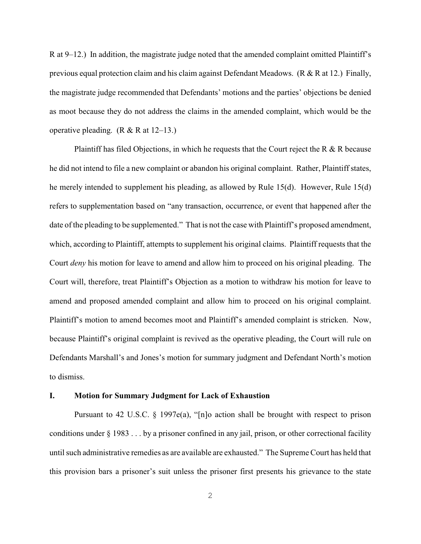R at 9–12.) In addition, the magistrate judge noted that the amended complaint omitted Plaintiff's previous equal protection claim and his claim against Defendant Meadows. (R & R at 12.) Finally, the magistrate judge recommended that Defendants' motions and the parties' objections be denied as moot because they do not address the claims in the amended complaint, which would be the operative pleading. (R & R at  $12-13$ .)

Plaintiff has filed Objections, in which he requests that the Court reject the R  $\&$  R because he did not intend to file a new complaint or abandon his original complaint. Rather, Plaintiff states, he merely intended to supplement his pleading, as allowed by Rule 15(d). However, Rule 15(d) refers to supplementation based on "any transaction, occurrence, or event that happened after the date of the pleading to be supplemented." That is not the case with Plaintiff's proposed amendment, which, according to Plaintiff, attempts to supplement his original claims. Plaintiff requests that the Court *deny* his motion for leave to amend and allow him to proceed on his original pleading. The Court will, therefore, treat Plaintiff's Objection as a motion to withdraw his motion for leave to amend and proposed amended complaint and allow him to proceed on his original complaint. Plaintiff's motion to amend becomes moot and Plaintiff's amended complaint is stricken. Now, because Plaintiff's original complaint is revived as the operative pleading, the Court will rule on Defendants Marshall's and Jones's motion for summary judgment and Defendant North's motion to dismiss.

#### **I. Motion for Summary Judgment for Lack of Exhaustion**

Pursuant to 42 U.S.C. § 1997e(a), "[n]o action shall be brought with respect to prison conditions under § 1983 . . . by a prisoner confined in any jail, prison, or other correctional facility until such administrative remedies as are available are exhausted." The Supreme Court has held that this provision bars a prisoner's suit unless the prisoner first presents his grievance to the state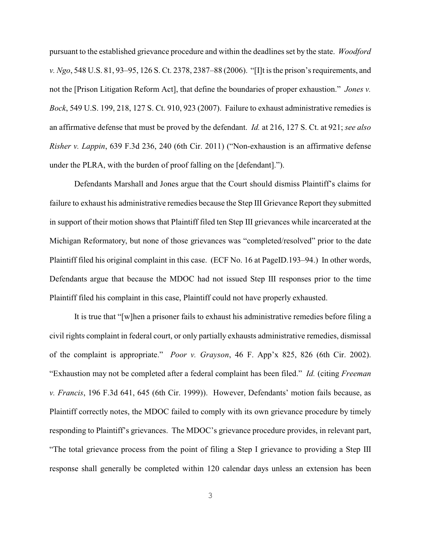pursuant to the established grievance procedure and within the deadlines set by the state. *Woodford v. Ngo*, 548 U.S. 81, 93–95, 126 S. Ct. 2378, 2387–88 (2006). "[I]t is the prison's requirements, and not the [Prison Litigation Reform Act], that define the boundaries of proper exhaustion." *Jones v. Bock*, 549 U.S. 199, 218, 127 S. Ct. 910, 923 (2007). Failure to exhaust administrative remedies is an affirmative defense that must be proved by the defendant. *Id.* at 216, 127 S. Ct. at 921; *see also Risher v. Lappin*, 639 F.3d 236, 240 (6th Cir. 2011) ("Non-exhaustion is an affirmative defense under the PLRA, with the burden of proof falling on the [defendant].").

Defendants Marshall and Jones argue that the Court should dismiss Plaintiff's claims for failure to exhaust his administrative remedies because the Step III Grievance Report they submitted in support of their motion shows that Plaintiff filed ten Step III grievances while incarcerated at the Michigan Reformatory, but none of those grievances was "completed/resolved" prior to the date Plaintiff filed his original complaint in this case. (ECF No. 16 at PageID.193–94.) In other words, Defendants argue that because the MDOC had not issued Step III responses prior to the time Plaintiff filed his complaint in this case, Plaintiff could not have properly exhausted.

It is true that "[w]hen a prisoner fails to exhaust his administrative remedies before filing a civil rights complaint in federal court, or only partially exhausts administrative remedies, dismissal of the complaint is appropriate." *Poor v. Grayson*, 46 F. App'x 825, 826 (6th Cir. 2002). "Exhaustion may not be completed after a federal complaint has been filed." *Id.* (citing *Freeman v. Francis*, 196 F.3d 641, 645 (6th Cir. 1999)). However, Defendants' motion fails because, as Plaintiff correctly notes, the MDOC failed to comply with its own grievance procedure by timely responding to Plaintiff's grievances. The MDOC's grievance procedure provides, in relevant part, "The total grievance process from the point of filing a Step I grievance to providing a Step III response shall generally be completed within 120 calendar days unless an extension has been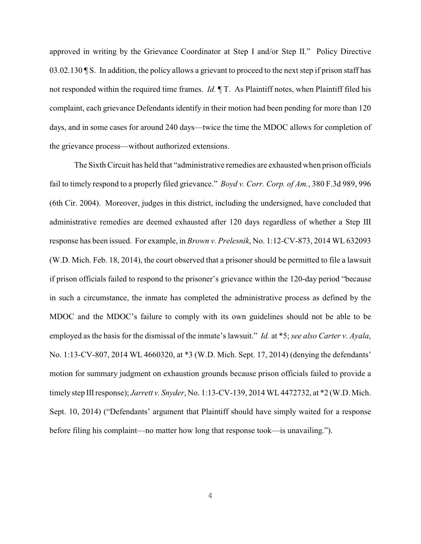approved in writing by the Grievance Coordinator at Step I and/or Step II." Policy Directive 03.02.130  $\P S$ . In addition, the policy allows a grievant to proceed to the next step if prison staff has not responded within the required time frames. *Id.* ¶ T. As Plaintiff notes, when Plaintiff filed his complaint, each grievance Defendants identify in their motion had been pending for more than 120 days, and in some cases for around 240 days—twice the time the MDOC allows for completion of the grievance process—without authorized extensions.

The Sixth Circuit has held that "administrative remedies are exhausted when prison officials fail to timely respond to a properly filed grievance." *Boyd v. Corr. Corp. of Am.*, 380 F.3d 989, 996 (6th Cir. 2004). Moreover, judges in this district, including the undersigned, have concluded that administrative remedies are deemed exhausted after 120 days regardless of whether a Step III response has been issued. For example, in *Brown v. Prelesnik*, No. 1:12-CV-873, 2014 WL 632093 (W.D. Mich. Feb. 18, 2014), the court observed that a prisoner should be permitted to file a lawsuit if prison officials failed to respond to the prisoner's grievance within the 120-day period "because in such a circumstance, the inmate has completed the administrative process as defined by the MDOC and the MDOC's failure to comply with its own guidelines should not be able to be employed as the basis for the dismissal of the inmate's lawsuit." *Id.* at \*5; *see also Carter v. Ayala*, No. 1:13-CV-807, 2014 WL 4660320, at \*3 (W.D. Mich. Sept. 17, 2014) (denying the defendants' motion for summary judgment on exhaustion grounds because prison officials failed to provide a timely step IIIresponse); *Jarrett v. Snyder*, No. 1:13-CV-139, 2014 WL4472732, at \*2 (W.D. Mich. Sept. 10, 2014) ("Defendants' argument that Plaintiff should have simply waited for a response before filing his complaint—no matter how long that response took—is unavailing.").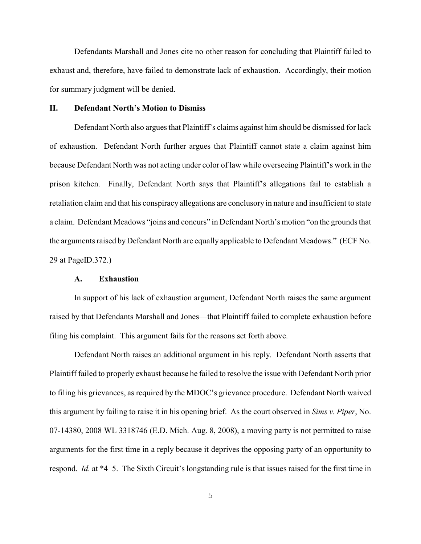Defendants Marshall and Jones cite no other reason for concluding that Plaintiff failed to exhaust and, therefore, have failed to demonstrate lack of exhaustion. Accordingly, their motion for summary judgment will be denied.

#### **II. Defendant North's Motion to Dismiss**

Defendant North also argues that Plaintiff's claims against him should be dismissed for lack of exhaustion. Defendant North further argues that Plaintiff cannot state a claim against him because Defendant North was not acting under color of law while overseeing Plaintiff's work in the prison kitchen. Finally, Defendant North says that Plaintiff's allegations fail to establish a retaliation claim and that his conspiracy allegations are conclusory in nature and insufficient to state a claim. Defendant Meadows "joins and concurs" in Defendant North's motion "on the grounds that the arguments raised byDefendant North are equally applicable to Defendant Meadows." (ECF No. 29 at PageID.372.)

#### **A. Exhaustion**

In support of his lack of exhaustion argument, Defendant North raises the same argument raised by that Defendants Marshall and Jones—that Plaintiff failed to complete exhaustion before filing his complaint. This argument fails for the reasons set forth above.

Defendant North raises an additional argument in his reply. Defendant North asserts that Plaintiff failed to properly exhaust because he failed to resolve the issue with Defendant North prior to filing his grievances, as required by the MDOC's grievance procedure. Defendant North waived this argument by failing to raise it in his opening brief. As the court observed in *Sims v. Piper*, No. 07-14380, 2008 WL 3318746 (E.D. Mich. Aug. 8, 2008), a moving party is not permitted to raise arguments for the first time in a reply because it deprives the opposing party of an opportunity to respond. *Id.* at \*4–5. The Sixth Circuit's longstanding rule is that issues raised for the first time in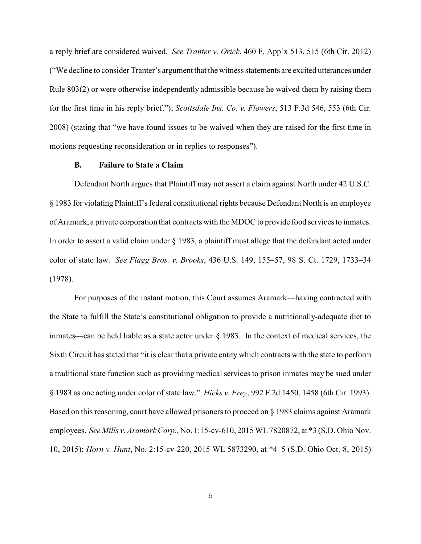a reply brief are considered waived. *See Tranter v. Orick*, 460 F. App'x 513, 515 (6th Cir. 2012) ("We decline to consider Tranter's argument that the witness statements are excited utterances under Rule 803(2) or were otherwise independently admissible because he waived them by raising them for the first time in his reply brief."); *Scottsdale Ins. Co. v. Flowers*, 513 F.3d 546, 553 (6th Cir. 2008) (stating that "we have found issues to be waived when they are raised for the first time in motions requesting reconsideration or in replies to responses").

#### **B. Failure to State a Claim**

Defendant North argues that Plaintiff may not assert a claim against North under 42 U.S.C. § 1983 for violating Plaintiff's federal constitutional rights because Defendant North is an employee of Aramark, a private corporation that contracts with the MDOC to provide food services to inmates. In order to assert a valid claim under § 1983, a plaintiff must allege that the defendant acted under color of state law. *See Flagg Bros. v. Brooks*, 436 U.S. 149, 155–57, 98 S. Ct. 1729, 1733–34 (1978).

For purposes of the instant motion, this Court assumes Aramark—having contracted with the State to fulfill the State's constitutional obligation to provide a nutritionally-adequate diet to inmates—can be held liable as a state actor under § 1983. In the context of medical services, the Sixth Circuit has stated that "it is clear that a private entity which contracts with the state to perform a traditional state function such as providing medical services to prison inmates may be sued under § 1983 as one acting under color of state law." *Hicks v. Frey*, 992 F.2d 1450, 1458 (6th Cir. 1993). Based on this reasoning, court have allowed prisoners to proceed on § 1983 claims against Aramark employees. *See Mills v. Aramark Corp.*, No. 1:15-cv-610, 2015 WL7820872, at \*3 (S.D. Ohio Nov. 10, 2015); *Horn v. Hunt*, No. 2:15-cv-220, 2015 WL 5873290, at \*4–5 (S.D. Ohio Oct. 8, 2015)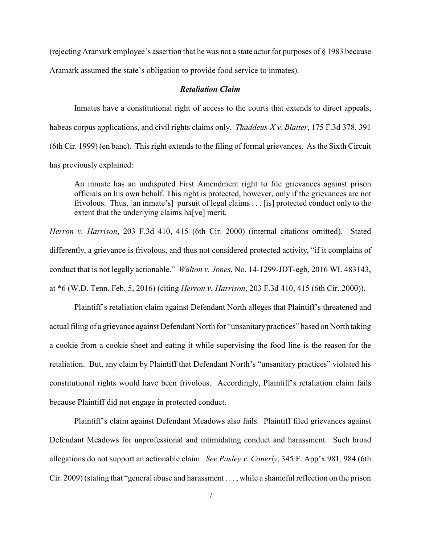(rejecting Aramark employee's assertion that he was not a state actor for purposes of § 1983 because Aramark assumed the state's obligation to provide food service to inmates).

#### *Retaliation Claim*

Inmates have a constitutional right of access to the courts that extends to direct appeals, habeas corpus applications, and civil rights claims only. *Thaddeus-X v. Blatter*, 175 F.3d 378, 391 (6th Cir. 1999) (en banc). This right extends to the filing of formal grievances. As the Sixth Circuit has previously explained:

An inmate has an undisputed First Amendment right to file grievances against prison officials on his own behalf. This right is protected, however, only if the grievances are not frivolous. Thus, [an inmate's] pursuit of legal claims . . . [is] protected conduct only to the extent that the underlying claims ha[ve] merit.

*Herron v. Harrison*, 203 F.3d 410, 415 (6th Cir. 2000) (internal citations omitted). Stated differently, a grievance is frivolous, and thus not considered protected activity, "if it complains of conduct that is not legally actionable." *Walton v. Jones*, No. 14-1299-JDT-egb, 2016 WL 483143, at \*6 (W.D. Tenn. Feb. 5, 2016) (citing *Herron v. Harrison*, 203 F.3d 410, 415 (6th Cir. 2000)).

Plaintiff's retaliation claim against Defendant North alleges that Plaintiff's threatened and actual filing of a grievance against Defendant North for "unsanitarypractices" based on North taking a cookie from a cookie sheet and eating it while supervising the food line is the reason for the retaliation. But, any claim by Plaintiff that Defendant North's "unsanitary practices" violated his constitutional rights would have been frivolous. Accordingly, Plaintiff's retaliation claim fails because Plaintiff did not engage in protected conduct.

Plaintiff's claim against Defendant Meadows also fails. Plaintiff filed grievances against Defendant Meadows for unprofessional and intimidating conduct and harassment. Such broad allegations do not support an actionable claim. *See Pasley v. Conerly*, 345 F. App'x 981, 984 (6th Cir. 2009) (stating that "general abuse and harassment . . . , while a shameful reflection on the prison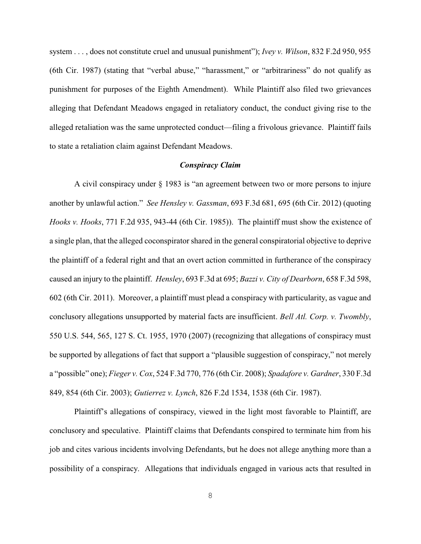system . . . , does not constitute cruel and unusual punishment"); *Ivey v. Wilson*, 832 F.2d 950, 955 (6th Cir. 1987) (stating that "verbal abuse," "harassment," or "arbitrariness" do not qualify as punishment for purposes of the Eighth Amendment). While Plaintiff also filed two grievances alleging that Defendant Meadows engaged in retaliatory conduct, the conduct giving rise to the alleged retaliation was the same unprotected conduct—filing a frivolous grievance. Plaintiff fails to state a retaliation claim against Defendant Meadows.

### *Conspiracy Claim*

A civil conspiracy under § 1983 is "an agreement between two or more persons to injure another by unlawful action." *See Hensley v. Gassman*, 693 F.3d 681, 695 (6th Cir. 2012) (quoting *Hooks v. Hooks*, 771 F.2d 935, 943-44 (6th Cir. 1985)). The plaintiff must show the existence of a single plan, that the alleged coconspirator shared in the general conspiratorial objective to deprive the plaintiff of a federal right and that an overt action committed in furtherance of the conspiracy caused an injury to the plaintiff. *Hensley*, 693 F.3d at 695; *Bazzi v. City of Dearborn*, 658 F.3d 598, 602 (6th Cir. 2011). Moreover, a plaintiff must plead a conspiracy with particularity, as vague and conclusory allegations unsupported by material facts are insufficient. *Bell Atl. Corp. v. Twombly*, 550 U.S. 544, 565, 127 S. Ct. 1955, 1970 (2007) (recognizing that allegations of conspiracy must be supported by allegations of fact that support a "plausible suggestion of conspiracy," not merely a "possible" one); *Fieger v. Cox*, 524 F.3d 770, 776 (6th Cir. 2008); *Spadafore v. Gardner*, 330 F.3d 849, 854 (6th Cir. 2003); *Gutierrez v. Lynch*, 826 F.2d 1534, 1538 (6th Cir. 1987).

Plaintiff's allegations of conspiracy, viewed in the light most favorable to Plaintiff, are conclusory and speculative. Plaintiff claims that Defendants conspired to terminate him from his job and cites various incidents involving Defendants, but he does not allege anything more than a possibility of a conspiracy. Allegations that individuals engaged in various acts that resulted in